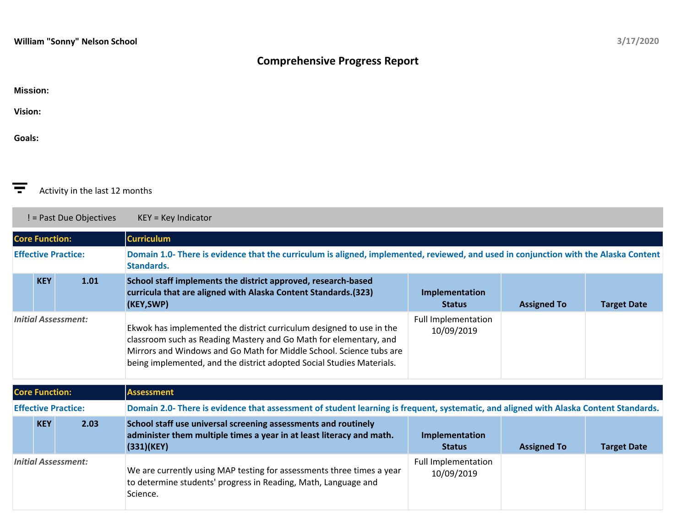## **Comprehensive Progress Report**

|  | <b>Mission:</b> |  |
|--|-----------------|--|
|  |                 |  |

**Vision:**

**Goals:**



! = Past Due Objectives KEY = Key Indicator

**Core Function: Curriculum Effective Practice: Domain 1.0- There is evidence that the curriculum is aligned, implemented, reviewed, and used in conjunction with the Alaska Content Standards. KEY 1.01 School staff implements the district approved, research-based curricula that are aligned with Alaska Content Standards.(323) (KEY,SWP) Implementation Status Assigned To Target Date** *Initial Assessment:* Ekwok has implemented the district curriculum designed to use in the classroom such as Reading Mastery and Go Math for elementary, and Mirrors and Windows and Go Math for Middle School. Science tubs are being implemented, and the district adopted Social Studies Materials. Full Implementation 10/09/2019

| <b>Core Function:</b>      |            |      | <b>Assessment</b>                                                                                                                                    |                                          |                    |                    |
|----------------------------|------------|------|------------------------------------------------------------------------------------------------------------------------------------------------------|------------------------------------------|--------------------|--------------------|
| <b>Effective Practice:</b> |            |      | Domain 2.0- There is evidence that assessment of student learning is frequent, systematic, and aligned with Alaska Content Standards.                |                                          |                    |                    |
|                            | <b>KEY</b> | 2.03 | School staff use universal screening assessments and routinely<br>administer them multiple times a year in at least literacy and math.<br>(331)(KEY) | Implementation<br><b>Status</b>          | <b>Assigned To</b> | <b>Target Date</b> |
| <b>Initial Assessment:</b> |            |      | We are currently using MAP testing for assessments three times a year<br>to determine students' progress in Reading, Math, Language and<br>Science.  | <b>Full Implementation</b><br>10/09/2019 |                    |                    |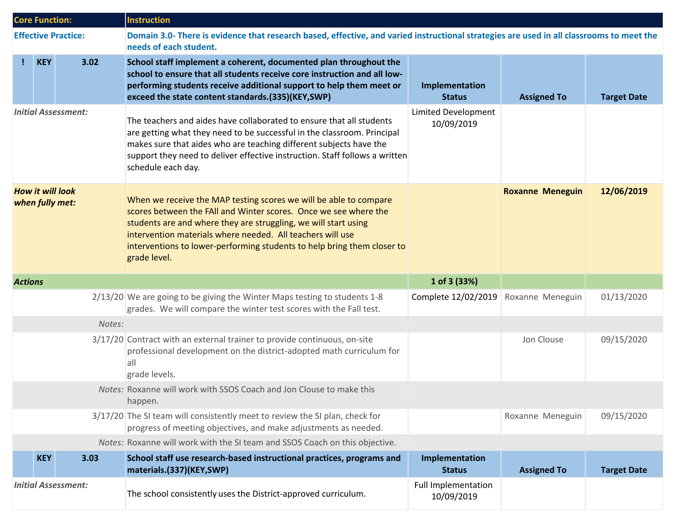| <b>Core Function:</b>                      |            |                            | <b>Instruction</b>                                                                                                                                                                                                                                                                                                                                                |                                          |                         |                    |  |
|--------------------------------------------|------------|----------------------------|-------------------------------------------------------------------------------------------------------------------------------------------------------------------------------------------------------------------------------------------------------------------------------------------------------------------------------------------------------------------|------------------------------------------|-------------------------|--------------------|--|
|                                            |            | <b>Effective Practice:</b> | Domain 3.0- There is evidence that research based, effective, and varied instructional strategies are used in all classrooms to meet the<br>needs of each student.                                                                                                                                                                                                |                                          |                         |                    |  |
| Ţ.                                         | <b>KEY</b> | 3.02                       | School staff implement a coherent, documented plan throughout the<br>school to ensure that all students receive core instruction and all low-<br>performing students receive additional support to help them meet or<br>exceed the state content standards.(335)(KEY,SWP)                                                                                         | Implementation<br><b>Status</b>          | <b>Assigned To</b>      | <b>Target Date</b> |  |
| <b>Initial Assessment:</b>                 |            |                            | The teachers and aides have collaborated to ensure that all students<br>are getting what they need to be successful in the classroom. Principal<br>makes sure that aides who are teaching different subjects have the<br>support they need to deliver effective instruction. Staff follows a written<br>schedule each day.                                        | <b>Limited Development</b><br>10/09/2019 |                         |                    |  |
| <b>How it will look</b><br>when fully met: |            |                            | When we receive the MAP testing scores we will be able to compare<br>scores between the FAII and Winter scores. Once we see where the<br>students are and where they are struggling, we will start using<br>intervention materials where needed. All teachers will use<br>interventions to lower-performing students to help bring them closer to<br>grade level. |                                          | <b>Roxanne Meneguin</b> | 12/06/2019         |  |
| <b>Actions</b>                             |            |                            |                                                                                                                                                                                                                                                                                                                                                                   | 1 of 3 (33%)                             |                         |                    |  |
|                                            |            |                            | 2/13/20 We are going to be giving the Winter Maps testing to students 1-8<br>grades. We will compare the winter test scores with the Fall test.                                                                                                                                                                                                                   | Complete 12/02/2019                      | Roxanne Meneguin        | 01/13/2020         |  |
|                                            |            | Notes:                     |                                                                                                                                                                                                                                                                                                                                                                   |                                          |                         |                    |  |
|                                            |            |                            | 3/17/20 Contract with an external trainer to provide continuous, on-site<br>professional development on the district-adopted math curriculum for<br> a  <br>grade levels.                                                                                                                                                                                         |                                          | Jon Clouse              | 09/15/2020         |  |
|                                            |            |                            | Notes: Roxanne will work with SSOS Coach and Jon Clouse to make this<br>happen.                                                                                                                                                                                                                                                                                   |                                          |                         |                    |  |
|                                            |            |                            | 3/17/20 The SI team will consistently meet to review the SI plan, check for<br>progress of meeting objectives, and make adjustments as needed.                                                                                                                                                                                                                    |                                          | Roxanne Meneguin        | 09/15/2020         |  |
|                                            |            |                            | Notes: Roxanne will work with the SI team and SSOS Coach on this objective.                                                                                                                                                                                                                                                                                       |                                          |                         |                    |  |
|                                            | <b>KEY</b> | 3.03                       | School staff use research-based instructional practices, programs and<br>materials.(337)(KEY,SWP)                                                                                                                                                                                                                                                                 | Implementation<br><b>Status</b>          | <b>Assigned To</b>      | <b>Target Date</b> |  |
|                                            |            | <b>Initial Assessment:</b> | The school consistently uses the District-approved curriculum.                                                                                                                                                                                                                                                                                                    | <b>Full Implementation</b><br>10/09/2019 |                         |                    |  |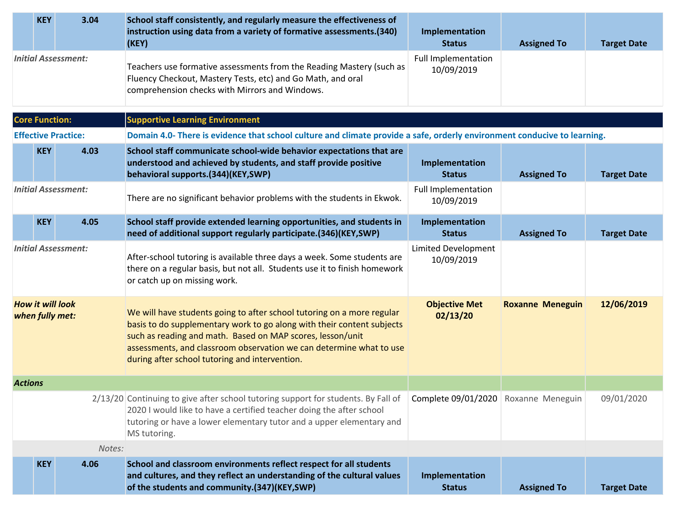|                                            | <b>KEY</b>            | 3.04                       | School staff consistently, and regularly measure the effectiveness of<br>instruction using data from a variety of formative assessments.(340)<br>(KEY)                                                                                                                                                                                  | Implementation<br><b>Status</b>          | <b>Assigned To</b>      | <b>Target Date</b> |
|--------------------------------------------|-----------------------|----------------------------|-----------------------------------------------------------------------------------------------------------------------------------------------------------------------------------------------------------------------------------------------------------------------------------------------------------------------------------------|------------------------------------------|-------------------------|--------------------|
| <b>Initial Assessment:</b>                 |                       |                            | Teachers use formative assessments from the Reading Mastery (such as<br>Fluency Checkout, Mastery Tests, etc) and Go Math, and oral<br>comprehension checks with Mirrors and Windows.                                                                                                                                                   | <b>Full Implementation</b><br>10/09/2019 |                         |                    |
|                                            | <b>Core Function:</b> |                            | <b>Supportive Learning Environment</b>                                                                                                                                                                                                                                                                                                  |                                          |                         |                    |
|                                            |                       | <b>Effective Practice:</b> | Domain 4.0- There is evidence that school culture and climate provide a safe, orderly environment conducive to learning.                                                                                                                                                                                                                |                                          |                         |                    |
|                                            | <b>KEY</b>            | 4.03                       | School staff communicate school-wide behavior expectations that are<br>understood and achieved by students, and staff provide positive<br>behavioral supports.(344)(KEY,SWP)                                                                                                                                                            | Implementation<br><b>Status</b>          | <b>Assigned To</b>      | <b>Target Date</b> |
|                                            |                       | <b>Initial Assessment:</b> | There are no significant behavior problems with the students in Ekwok.                                                                                                                                                                                                                                                                  | <b>Full Implementation</b><br>10/09/2019 |                         |                    |
|                                            | <b>KEY</b>            | 4.05                       | School staff provide extended learning opportunities, and students in<br>need of additional support regularly participate.(346)(KEY,SWP)                                                                                                                                                                                                | Implementation<br><b>Status</b>          | <b>Assigned To</b>      | <b>Target Date</b> |
| <b>Initial Assessment:</b>                 |                       |                            | After-school tutoring is available three days a week. Some students are<br>there on a regular basis, but not all. Students use it to finish homework<br>or catch up on missing work.                                                                                                                                                    | <b>Limited Development</b><br>10/09/2019 |                         |                    |
| <b>How it will look</b><br>when fully met: |                       |                            | We will have students going to after school tutoring on a more regular<br>basis to do supplementary work to go along with their content subjects<br>such as reading and math. Based on MAP scores, lesson/unit<br>assessments, and classroom observation we can determine what to use<br>during after school tutoring and intervention. | <b>Objective Met</b><br>02/13/20         | <b>Roxanne Meneguin</b> | 12/06/2019         |
| <b>Actions</b>                             |                       |                            |                                                                                                                                                                                                                                                                                                                                         |                                          |                         |                    |
|                                            |                       |                            | 2/13/20 Continuing to give after school tutoring support for students. By Fall of<br>2020 I would like to have a certified teacher doing the after school<br>tutoring or have a lower elementary tutor and a upper elementary and<br>MS tutoring.                                                                                       | Complete 09/01/2020 Roxanne Meneguin     |                         | 09/01/2020         |
|                                            |                       | Notes:                     |                                                                                                                                                                                                                                                                                                                                         |                                          |                         |                    |
|                                            | <b>KEY</b>            | 4.06                       | School and classroom environments reflect respect for all students<br>and cultures, and they reflect an understanding of the cultural values<br>of the students and community.(347)(KEY,SWP)                                                                                                                                            | Implementation<br><b>Status</b>          | <b>Assigned To</b>      | <b>Target Date</b> |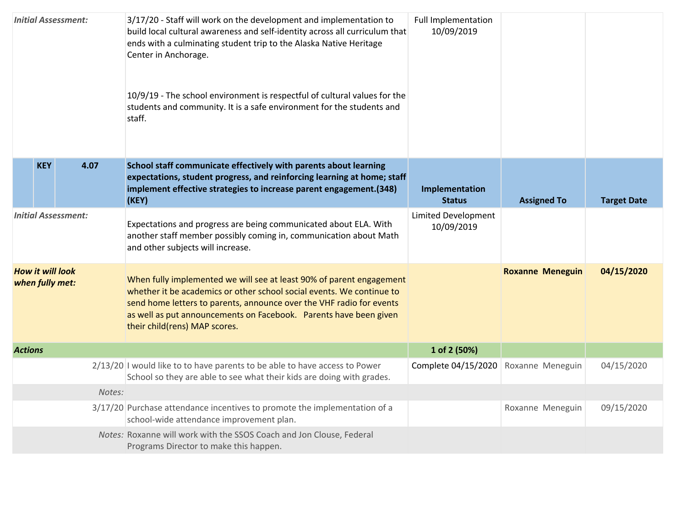| <b>Initial Assessment:</b>                 |            |        | 3/17/20 - Staff will work on the development and implementation to<br>build local cultural awareness and self-identity across all curriculum that<br>ends with a culminating student trip to the Alaska Native Heritage<br>Center in Anchorage.<br>10/9/19 - The school environment is respectful of cultural values for the<br>students and community. It is a safe environment for the students and<br>staff. | <b>Full Implementation</b><br>10/09/2019 |                         |                    |
|--------------------------------------------|------------|--------|-----------------------------------------------------------------------------------------------------------------------------------------------------------------------------------------------------------------------------------------------------------------------------------------------------------------------------------------------------------------------------------------------------------------|------------------------------------------|-------------------------|--------------------|
|                                            | <b>KEY</b> | 4.07   | School staff communicate effectively with parents about learning<br>expectations, student progress, and reinforcing learning at home; staff<br>implement effective strategies to increase parent engagement.(348)<br>(KEY)                                                                                                                                                                                      | Implementation<br><b>Status</b>          | <b>Assigned To</b>      | <b>Target Date</b> |
| <b>Initial Assessment:</b>                 |            |        | Expectations and progress are being communicated about ELA. With<br>another staff member possibly coming in, communication about Math<br>and other subjects will increase.                                                                                                                                                                                                                                      | <b>Limited Development</b><br>10/09/2019 |                         |                    |
| <b>How it will look</b><br>when fully met: |            |        | When fully implemented we will see at least 90% of parent engagement<br>whether it be academics or other school social events. We continue to<br>send home letters to parents, announce over the VHF radio for events<br>as well as put announcements on Facebook. Parents have been given<br>their child(rens) MAP scores.                                                                                     |                                          | <b>Roxanne Meneguin</b> | 04/15/2020         |
| <b>Actions</b>                             |            |        |                                                                                                                                                                                                                                                                                                                                                                                                                 | 1 of 2 (50%)                             |                         |                    |
|                                            |            |        | 2/13/20 I would like to to have parents to be able to have access to Power<br>School so they are able to see what their kids are doing with grades.                                                                                                                                                                                                                                                             | Complete 04/15/2020                      | Roxanne Meneguin        | 04/15/2020         |
|                                            |            | Notes: |                                                                                                                                                                                                                                                                                                                                                                                                                 |                                          |                         |                    |
|                                            |            |        | 3/17/20 Purchase attendance incentives to promote the implementation of a<br>school-wide attendance improvement plan.                                                                                                                                                                                                                                                                                           |                                          | Roxanne Meneguin        | 09/15/2020         |
|                                            |            |        | Notes: Roxanne will work with the SSOS Coach and Jon Clouse, Federal<br>Programs Director to make this happen.                                                                                                                                                                                                                                                                                                  |                                          |                         |                    |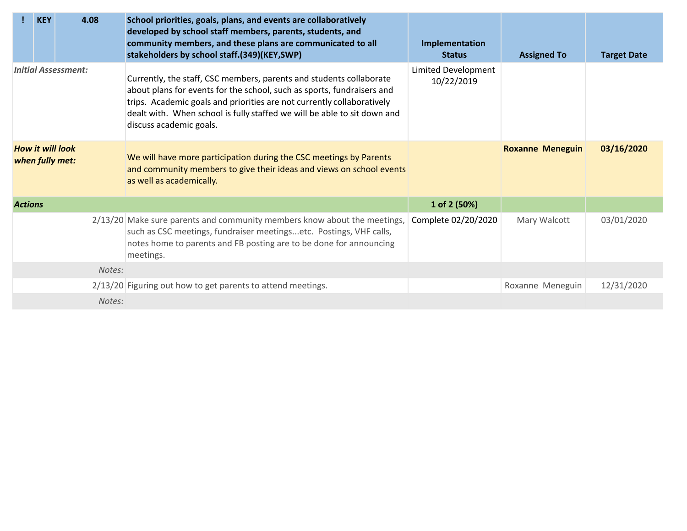|                                            | <b>KEY</b> | 4.08   | School priorities, goals, plans, and events are collaboratively<br>developed by school staff members, parents, students, and<br>community members, and these plans are communicated to all<br>stakeholders by school staff.(349)(KEY,SWP)                                                                                      | Implementation<br><b>Status</b>   | <b>Assigned To</b>      | <b>Target Date</b> |
|--------------------------------------------|------------|--------|--------------------------------------------------------------------------------------------------------------------------------------------------------------------------------------------------------------------------------------------------------------------------------------------------------------------------------|-----------------------------------|-------------------------|--------------------|
| <b>Initial Assessment:</b>                 |            |        | Currently, the staff, CSC members, parents and students collaborate<br>about plans for events for the school, such as sports, fundraisers and<br>trips. Academic goals and priorities are not currently collaboratively<br>dealt with. When school is fully staffed we will be able to sit down and<br>discuss academic goals. | Limited Development<br>10/22/2019 |                         |                    |
| <b>How it will look</b><br>when fully met: |            |        | We will have more participation during the CSC meetings by Parents<br>and community members to give their ideas and views on school events<br>as well as academically.                                                                                                                                                         |                                   | <b>Roxanne Meneguin</b> | 03/16/2020         |
| <b>Actions</b>                             |            |        |                                                                                                                                                                                                                                                                                                                                | 1 of 2 (50%)                      |                         |                    |
|                                            |            |        | 2/13/20 Make sure parents and community members know about the meetings,<br>such as CSC meetings, fundraiser meetingsetc. Postings, VHF calls,<br>notes home to parents and FB posting are to be done for announcing<br>meetings.                                                                                              | Complete 02/20/2020               | Mary Walcott            | 03/01/2020         |
|                                            |            | Notes: |                                                                                                                                                                                                                                                                                                                                |                                   |                         |                    |
|                                            |            |        | 2/13/20 Figuring out how to get parents to attend meetings.                                                                                                                                                                                                                                                                    |                                   | Roxanne Meneguin        | 12/31/2020         |
|                                            |            | Notes: |                                                                                                                                                                                                                                                                                                                                |                                   |                         |                    |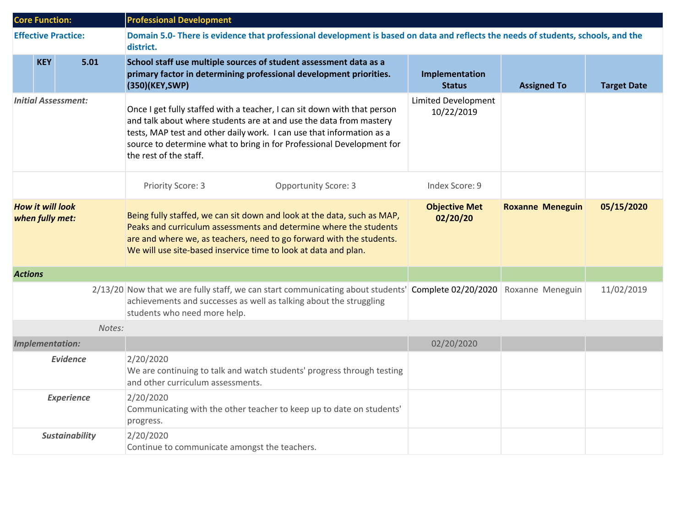| <b>Core Function:</b>                      |            |                            | <b>Professional Development</b>                                                                                                                                                                                                                                                                                            |                                          |                         |                    |  |  |
|--------------------------------------------|------------|----------------------------|----------------------------------------------------------------------------------------------------------------------------------------------------------------------------------------------------------------------------------------------------------------------------------------------------------------------------|------------------------------------------|-------------------------|--------------------|--|--|
|                                            |            | <b>Effective Practice:</b> | Domain 5.0- There is evidence that professional development is based on data and reflects the needs of students, schools, and the<br>district.                                                                                                                                                                             |                                          |                         |                    |  |  |
|                                            | <b>KEY</b> | 5.01                       | School staff use multiple sources of student assessment data as a<br>primary factor in determining professional development priorities.<br>(350)(KEY, SWP)                                                                                                                                                                 | Implementation<br><b>Status</b>          | <b>Assigned To</b>      | <b>Target Date</b> |  |  |
| <b>Initial Assessment:</b>                 |            |                            | Once I get fully staffed with a teacher, I can sit down with that person<br>and talk about where students are at and use the data from mastery<br>tests, MAP test and other daily work. I can use that information as a<br>source to determine what to bring in for Professional Development for<br>the rest of the staff. | <b>Limited Development</b><br>10/22/2019 |                         |                    |  |  |
|                                            |            |                            | Priority Score: 3<br><b>Opportunity Score: 3</b>                                                                                                                                                                                                                                                                           | Index Score: 9                           |                         |                    |  |  |
| <b>How it will look</b><br>when fully met: |            |                            | Being fully staffed, we can sit down and look at the data, such as MAP,<br>Peaks and curriculum assessments and determine where the students<br>are and where we, as teachers, need to go forward with the students.<br>We will use site-based inservice time to look at data and plan.                                    | <b>Objective Met</b><br>02/20/20         | <b>Roxanne Meneguin</b> | 05/15/2020         |  |  |
| <b>Actions</b>                             |            |                            |                                                                                                                                                                                                                                                                                                                            |                                          |                         |                    |  |  |
|                                            |            |                            | 2/13/20 Now that we are fully staff, we can start communicating about students' Complete 02/20/2020<br>achievements and successes as well as talking about the struggling<br>students who need more help.                                                                                                                  |                                          | Roxanne Meneguin        | 11/02/2019         |  |  |
|                                            |            | Notes:                     |                                                                                                                                                                                                                                                                                                                            |                                          |                         |                    |  |  |
|                                            |            | <b>Implementation:</b>     |                                                                                                                                                                                                                                                                                                                            | 02/20/2020                               |                         |                    |  |  |
| <b>Evidence</b>                            |            |                            | 2/20/2020<br>We are continuing to talk and watch students' progress through testing<br>and other curriculum assessments.                                                                                                                                                                                                   |                                          |                         |                    |  |  |
| <b>Experience</b>                          |            |                            | 2/20/2020<br>Communicating with the other teacher to keep up to date on students'<br>progress.                                                                                                                                                                                                                             |                                          |                         |                    |  |  |
|                                            |            | <b>Sustainability</b>      | 2/20/2020<br>Continue to communicate amongst the teachers.                                                                                                                                                                                                                                                                 |                                          |                         |                    |  |  |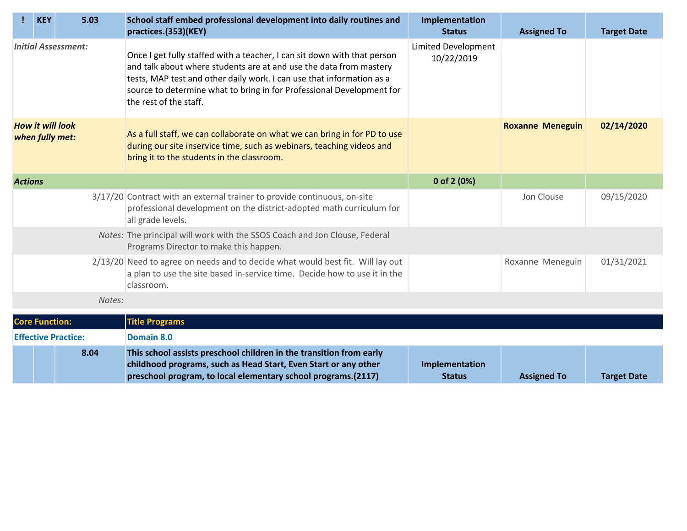|                                            | <b>KEY</b>            | 5.03                       | School staff embed professional development into daily routines and<br>practices.(353)(KEY)                                                                                                                                                                                                                                | Implementation<br><b>Status</b>          | <b>Assigned To</b>      | <b>Target Date</b> |
|--------------------------------------------|-----------------------|----------------------------|----------------------------------------------------------------------------------------------------------------------------------------------------------------------------------------------------------------------------------------------------------------------------------------------------------------------------|------------------------------------------|-------------------------|--------------------|
| <b>Initial Assessment:</b>                 |                       |                            | Once I get fully staffed with a teacher, I can sit down with that person<br>and talk about where students are at and use the data from mastery<br>tests, MAP test and other daily work. I can use that information as a<br>source to determine what to bring in for Professional Development for<br>the rest of the staff. | <b>Limited Development</b><br>10/22/2019 |                         |                    |
| <b>How it will look</b><br>when fully met: |                       |                            | As a full staff, we can collaborate on what we can bring in for PD to use<br>during our site inservice time, such as webinars, teaching videos and<br>bring it to the students in the classroom.                                                                                                                           |                                          | <b>Roxanne Meneguin</b> | 02/14/2020         |
| <b>Actions</b>                             |                       |                            |                                                                                                                                                                                                                                                                                                                            | 0 of 2 (0%)                              |                         |                    |
|                                            |                       |                            | 3/17/20 Contract with an external trainer to provide continuous, on-site<br>professional development on the district-adopted math curriculum for<br>all grade levels.                                                                                                                                                      |                                          | Jon Clouse              | 09/15/2020         |
|                                            |                       |                            | Notes: The principal will work with the SSOS Coach and Jon Clouse, Federal<br>Programs Director to make this happen.                                                                                                                                                                                                       |                                          |                         |                    |
|                                            |                       |                            | 2/13/20 Need to agree on needs and to decide what would best fit. Will lay out<br>a plan to use the site based in-service time. Decide how to use it in the<br>classroom.                                                                                                                                                  |                                          | Roxanne Meneguin        | 01/31/2021         |
|                                            |                       | Notes:                     |                                                                                                                                                                                                                                                                                                                            |                                          |                         |                    |
|                                            | <b>Core Function:</b> |                            | <b>Title Programs</b>                                                                                                                                                                                                                                                                                                      |                                          |                         |                    |
|                                            |                       | <b>Effective Practice:</b> | Domain 8.0                                                                                                                                                                                                                                                                                                                 |                                          |                         |                    |
|                                            |                       | 8.04                       | This school assists preschool children in the transition from early<br>childhood programs, such as Head Start, Even Start or any other<br>preschool program, to local elementary school programs.(2117)                                                                                                                    | Implementation<br><b>Status</b>          | <b>Assigned To</b>      | <b>Target Date</b> |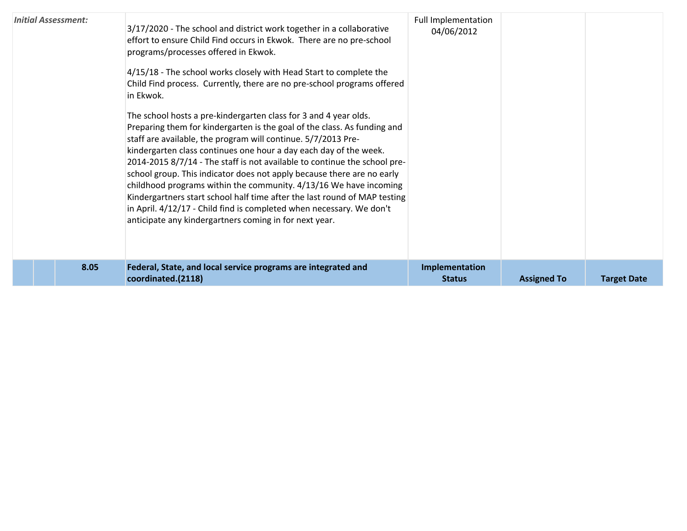| 8.05                       | Federal, State, and local service programs are integrated and<br>coordinated.(2118)                                                                                                                                                                                                                                                                                                                                                                                                                                                                                                                                                                                                                                                                                                                                                                                                                                                                                                                                                                                                 | Implementation<br><b>Status</b>          | <b>Assigned To</b> | <b>Target Date</b> |
|----------------------------|-------------------------------------------------------------------------------------------------------------------------------------------------------------------------------------------------------------------------------------------------------------------------------------------------------------------------------------------------------------------------------------------------------------------------------------------------------------------------------------------------------------------------------------------------------------------------------------------------------------------------------------------------------------------------------------------------------------------------------------------------------------------------------------------------------------------------------------------------------------------------------------------------------------------------------------------------------------------------------------------------------------------------------------------------------------------------------------|------------------------------------------|--------------------|--------------------|
| <b>Initial Assessment:</b> | 3/17/2020 - The school and district work together in a collaborative<br>effort to ensure Child Find occurs in Ekwok. There are no pre-school<br>programs/processes offered in Ekwok.<br>4/15/18 - The school works closely with Head Start to complete the<br>Child Find process. Currently, there are no pre-school programs offered<br>in Ekwok.<br>The school hosts a pre-kindergarten class for 3 and 4 year olds.<br>Preparing them for kindergarten is the goal of the class. As funding and<br>staff are available, the program will continue. 5/7/2013 Pre-<br>kindergarten class continues one hour a day each day of the week.<br>2014-2015 8/7/14 - The staff is not available to continue the school pre-<br>school group. This indicator does not apply because there are no early<br>childhood programs within the community. 4/13/16 We have incoming<br>Kindergartners start school half time after the last round of MAP testing<br>in April. 4/12/17 - Child find is completed when necessary. We don't<br>anticipate any kindergartners coming in for next year. | <b>Full Implementation</b><br>04/06/2012 |                    |                    |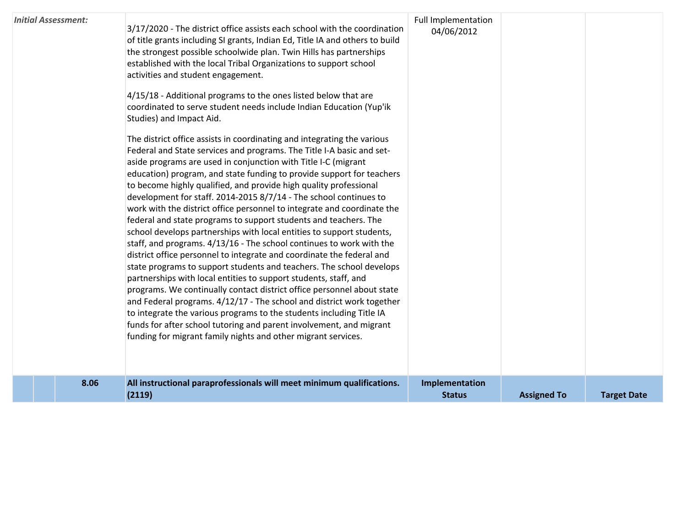|                            | 8.06 | All instructional paraprofessionals will meet minimum qualifications.<br>(2119)                                                                                                                                                                                                                                                                                                                                                                                                                                                                                                                                                                                                                                                                                                                                                                                                                                                                                                                                                                                                                                                                                           | Implementation<br><b>Status</b> | <b>Assigned To</b> | <b>Target Date</b> |
|----------------------------|------|---------------------------------------------------------------------------------------------------------------------------------------------------------------------------------------------------------------------------------------------------------------------------------------------------------------------------------------------------------------------------------------------------------------------------------------------------------------------------------------------------------------------------------------------------------------------------------------------------------------------------------------------------------------------------------------------------------------------------------------------------------------------------------------------------------------------------------------------------------------------------------------------------------------------------------------------------------------------------------------------------------------------------------------------------------------------------------------------------------------------------------------------------------------------------|---------------------------------|--------------------|--------------------|
|                            |      | aside programs are used in conjunction with Title I-C (migrant<br>education) program, and state funding to provide support for teachers<br>to become highly qualified, and provide high quality professional<br>development for staff. 2014-2015 8/7/14 - The school continues to<br>work with the district office personnel to integrate and coordinate the<br>federal and state programs to support students and teachers. The<br>school develops partnerships with local entities to support students,<br>staff, and programs. 4/13/16 - The school continues to work with the<br>district office personnel to integrate and coordinate the federal and<br>state programs to support students and teachers. The school develops<br>partnerships with local entities to support students, staff, and<br>programs. We continually contact district office personnel about state<br>and Federal programs. 4/12/17 - The school and district work together<br>to integrate the various programs to the students including Title IA<br>funds for after school tutoring and parent involvement, and migrant<br>funding for migrant family nights and other migrant services. |                                 |                    |                    |
|                            |      | of title grants including SI grants, Indian Ed, Title IA and others to build<br>the strongest possible schoolwide plan. Twin Hills has partnerships<br>established with the local Tribal Organizations to support school<br>activities and student engagement.<br>4/15/18 - Additional programs to the ones listed below that are<br>coordinated to serve student needs include Indian Education (Yup'ik<br>Studies) and Impact Aid.<br>The district office assists in coordinating and integrating the various<br>Federal and State services and programs. The Title I-A basic and set-                                                                                                                                                                                                                                                                                                                                                                                                                                                                                                                                                                                  | 04/06/2012                      |                    |                    |
| <b>Initial Assessment:</b> |      | 3/17/2020 - The district office assists each school with the coordination                                                                                                                                                                                                                                                                                                                                                                                                                                                                                                                                                                                                                                                                                                                                                                                                                                                                                                                                                                                                                                                                                                 | <b>Full Implementation</b>      |                    |                    |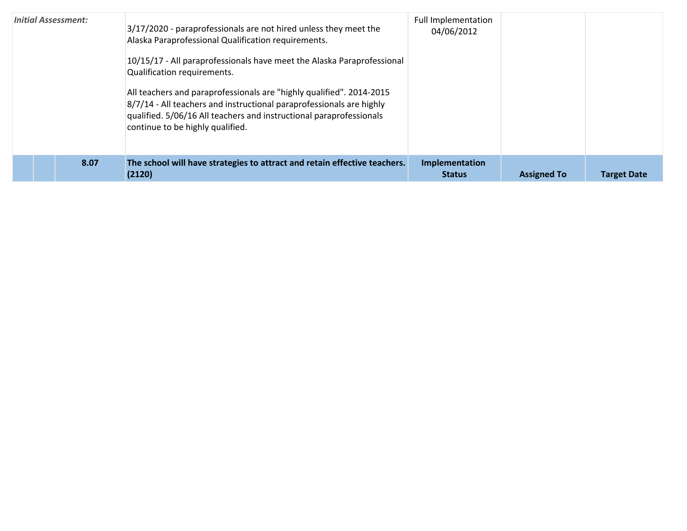| <b>Initial Assessment:</b> | 3/17/2020 - paraprofessionals are not hired unless they meet the<br>Alaska Paraprofessional Qualification requirements.<br>10/15/17 - All paraprofessionals have meet the Alaska Paraprofessional<br>Qualification requirements.<br>All teachers and paraprofessionals are "highly qualified". 2014-2015<br>8/7/14 - All teachers and instructional paraprofessionals are highly<br>qualified. 5/06/16 All teachers and instructional paraprofessionals<br>continue to be highly qualified. | <b>Full Implementation</b><br>04/06/2012 |                    |                    |
|----------------------------|---------------------------------------------------------------------------------------------------------------------------------------------------------------------------------------------------------------------------------------------------------------------------------------------------------------------------------------------------------------------------------------------------------------------------------------------------------------------------------------------|------------------------------------------|--------------------|--------------------|
| 8.07                       | The school will have strategies to attract and retain effective teachers.<br>(2120)                                                                                                                                                                                                                                                                                                                                                                                                         | Implementation<br><b>Status</b>          | <b>Assigned To</b> | <b>Target Date</b> |